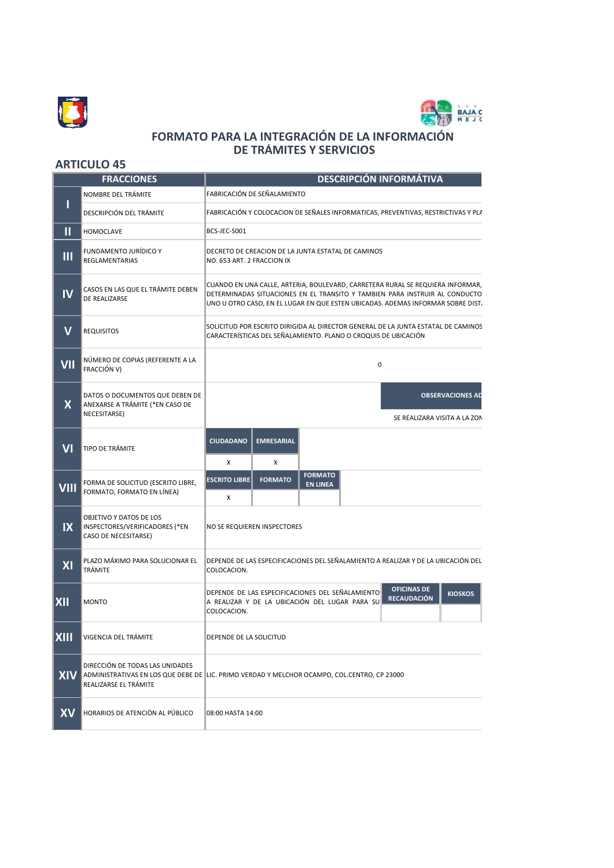



## **FORMATO PARA LA INTEGRACIÓN DE LA INFORMACIÓN DE TRÁMITES Y SERVICIOS**

## **ARTICULO 45**

| <b>FRACCIONES</b>       |                                                                                    | <b>DESCRIPCIÓN INFORMÁTIVA</b>                                                                                                                                                                                                                   |
|-------------------------|------------------------------------------------------------------------------------|--------------------------------------------------------------------------------------------------------------------------------------------------------------------------------------------------------------------------------------------------|
|                         | NOMBRE DEL TRÁMITE                                                                 | FABRICACIÓN DE SEÑALAMIENTO                                                                                                                                                                                                                      |
| ı                       | DESCRIPCIÓN DEL TRÁMITE                                                            | FABRICACIÓN Y COLOCACION DE SEÑALES INFORMATICAS, PREVENTIVAS, RESTRICTIVAS Y PLA                                                                                                                                                                |
| П                       | <b>HOMOCLAVE</b>                                                                   | BCS-JEC-S001                                                                                                                                                                                                                                     |
| Ш                       | FUNDAMENTO JURÍDICO Y<br><b>REGLAMENTARIAS</b>                                     | DECRETO DE CREACION DE LA JUNTA ESTATAL DE CAMINOS<br>NO. 653 ART. 2 FRACCION IX                                                                                                                                                                 |
| IV                      | CASOS EN LAS QUE EL TRÁMITE DEBEN<br>DE REALIZARSE                                 | CUANDO EN UNA CALLE, ARTERIA, BOULEVARD, CARRETERA RURAL SE REQUIERA INFORMAR,<br>DETERMINADAS SITUACIONES EN EL TRANSITO Y TAMBIEN PARA INSTRUIR AL CONDUCTO<br>UNO U OTRO CASO, EN EL LUGAR EN QUE ESTEN UBICADAS. ADEMAS INFORMAR SOBRE DIST. |
| $\mathbf V$             | <b>REQUISITOS</b>                                                                  | SOLICITUD POR ESCRITO DIRIGIDA AL DIRECTOR GENERAL DE LA JUNTA ESTATAL DE CAMINOS<br>CARACTERÍSTICAS DEL SEÑALAMIENTO. PLANO O CROQUIS DE UBICACIÓN                                                                                              |
| VII                     | NÚMERO DE COPIAS (REFERENTE A LA<br>FRACCIÓN V)                                    | 0                                                                                                                                                                                                                                                |
| $\overline{\mathsf{X}}$ | DATOS O DOCUMENTOS QUE DEBEN DE<br>ANEXARSE A TRÁMITE (*EN CASO DE<br>NECESITARSE) | <b>OBSERVACIONES AD</b><br>SE REALIZARA VISITA A LA ZON                                                                                                                                                                                          |
| V <sub>1</sub>          | TIPO DE TRÁMITE                                                                    | <b>EMRESARIAL</b><br><b>CIUDADANO</b><br>X<br>x                                                                                                                                                                                                  |
| <b>VIII</b>             | FORMA DE SOLICITUD (ESCRITO LIBRE,<br>FORMATO, FORMATO EN LÍNEA)                   | <b>FORMATO</b><br><b>FORMATO</b><br><b>ESCRITO LIBRE</b><br><b>EN LINEA</b><br>x                                                                                                                                                                 |
| IX                      | OBJETIVO Y DATOS DE LOS<br>INSPECTORES/VERIFICADORES (*EN<br>CASO DE NECESITARSE)  | NO SE REQUIEREN INSPECTORES                                                                                                                                                                                                                      |
| XI                      | PLAZO MÁXIMO PARA SOLUCIONAR EL<br><b>TRÁMITE</b>                                  | DEPENDE DE LAS ESPECIFICACIONES DEL SEÑALAMIENTO A REALIZAR Y DE LA UBICACIÓN DEL<br>COLOCACION.                                                                                                                                                 |
| <b>XII</b>              | <b>MONTO</b>                                                                       | <b>OFICINAS DE</b><br>DEPENDE DE LAS ESPECIFICACIONES DEL SEÑALAMIENTO<br><b>KIOSKOS</b><br><b>RECAUDACIÓN</b><br>A REALIZAR Y DE LA UBICACIÓN DEL LUGAR PARA SU<br>COLOCACION.                                                                  |
| <b>XIII</b>             | VIGENCIA DEL TRÁMITE                                                               | DEPENDE DE LA SOLICITUD                                                                                                                                                                                                                          |
| <b>XIV</b>              | DIRECCIÓN DE TODAS LAS UNIDADES<br>REALIZARSE EL TRÁMITE                           | ADMINISTRATIVAS EN LOS QUE DEBE DE LIC. PRIMO VERDAD Y MELCHOR OCAMPO, COL.CENTRO, CP 23000                                                                                                                                                      |
| <b>XV</b>               | HORARIOS DE ATENCIÓN AL PÚBLICO                                                    | 08:00 HASTA 14:00                                                                                                                                                                                                                                |
|                         |                                                                                    |                                                                                                                                                                                                                                                  |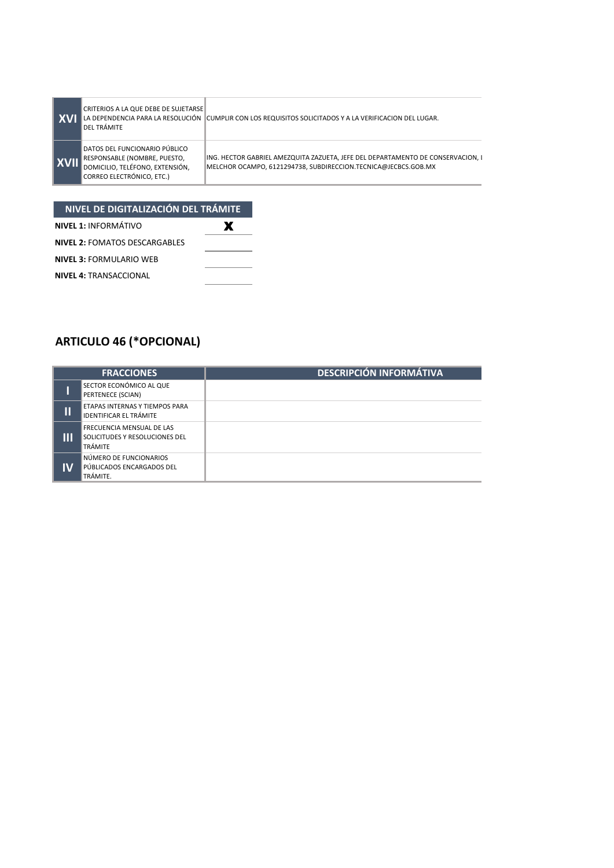|             | CRITERIOS A LA QUE DEBE DE SUJETARSE<br>l del trámite                                                                                 | LA DEPENDENCIA PARA LA RESOLUCIÓN CUMPLIR CON LOS REQUISITOS SOLICITADOS Y A LA VERIFICACION DEL LUGAR.                                           |
|-------------|---------------------------------------------------------------------------------------------------------------------------------------|---------------------------------------------------------------------------------------------------------------------------------------------------|
| <b>XVII</b> | DATOS DEL FUNCIONARIO PÚBLICO<br>RESPONSABLE (NOMBRE, PUESTO,<br><b>IDOMICILIO, TELÉFONO, EXTENSIÓN.</b><br>CORREO ELECTRÓNICO, ETC.) | ING. HECTOR GABRIEL AMEZQUITA ZAZUETA, JEFE DEL DEPARTAMENTO DE CONSERVACION, I<br>MELCHOR OCAMPO, 6121294738, SUBDIRECCION.TECNICA@JECBCS.GOB.MX |

| NIVEL DE DIGITALIZACIÓN DEL TRÁMITE  |   |  |  |
|--------------------------------------|---|--|--|
| <b>NIVEL 1: INFORMÁTIVO</b>          | Х |  |  |
| <b>NIVEL 2: FOMATOS DESCARGABLES</b> |   |  |  |
| <b>NIVEL 3: FORMULARIO WEB</b>       |   |  |  |
| <b>NIVEL 4: TRANSACCIONAL</b>        |   |  |  |

## **ARTICULO 46 (\*OPCIONAL)**

| <b>FRACCIONES</b>      |                                                                        | <b>DESCRIPCIÓN INFORMÁTIVA</b> |  |
|------------------------|------------------------------------------------------------------------|--------------------------------|--|
|                        | SECTOR ECONÓMICO AL QUE<br>PERTENECE (SCIAN)                           |                                |  |
| $\mathsf{I}\mathsf{I}$ | ETAPAS INTERNAS Y TIEMPOS PARA<br><b>IDENTIFICAR EL TRÁMITE</b>        |                                |  |
| Ш                      | FRECUENCIA MENSUAL DE LAS<br>SOLICITUDES Y RESOLUCIONES DEL<br>TRÁMITE |                                |  |
| IM                     | NÚMERO DE FUNCIONARIOS<br>PÚBLICADOS ENCARGADOS DEL<br>TRÁMITE.        |                                |  |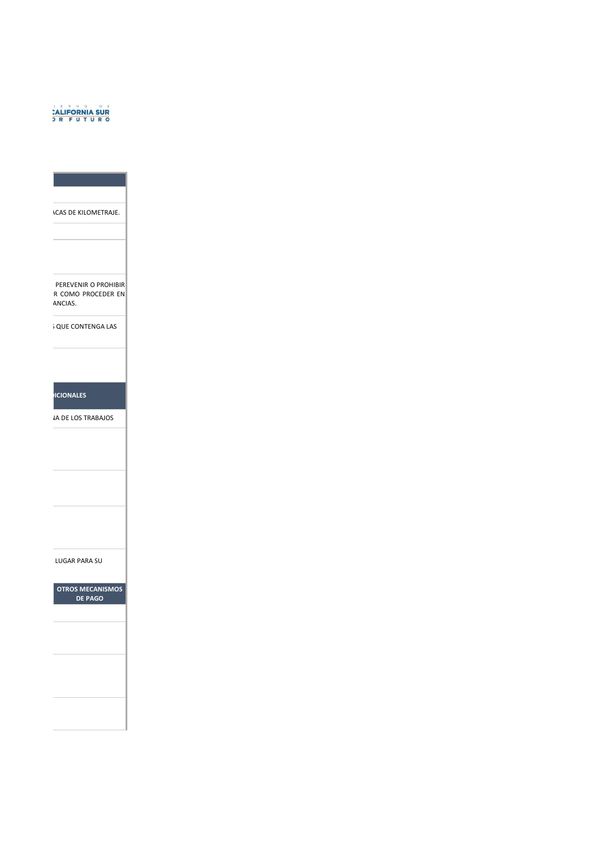## **CALIFORNIA SUR**

**ACAS DE KILOMETRAJE.** 

PEREVENIR O PROHIBIR R COMO PROCEDER EN ANCIAS. ANCIAS.

S QUE CONTENGA LAS

**OCIONALES** 

**JA DE LOS TRABAJOS** 

LUGAR PARA SU

**OTROS MECANISMOS DE PAGO**